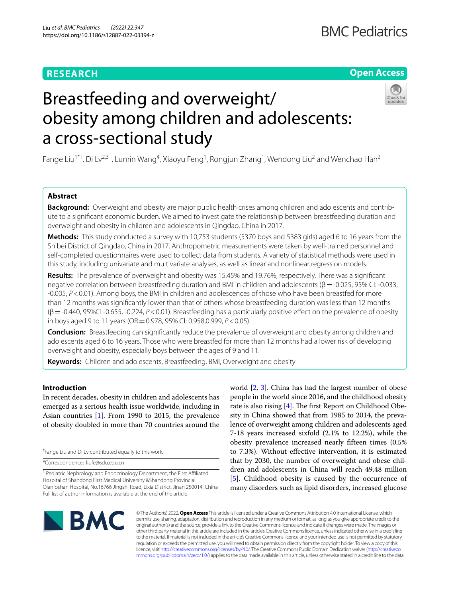# **RESEARCH**

# **Open Access**



# Breastfeeding and overweight/ obesity among children and adolescents: a cross-sectional study

Fange Liu<sup>1\*†</sup>, Di Lv<sup>2,3†</sup>, Lumin Wang<sup>4</sup>, Xiaoyu Feng<sup>1</sup>, Rongjun Zhang<sup>1</sup>, Wendong Liu<sup>2</sup> and Wenchao Han<sup>2</sup>

# **Abstract**

**Background:** Overweight and obesity are major public health crises among children and adolescents and contribute to a signifcant economic burden. We aimed to investigate the relationship between breastfeeding duration and overweight and obesity in children and adolescents in Qingdao, China in 2017.

**Methods:** This study conducted a survey with 10,753 students (5370 boys and 5383 girls) aged 6 to 16 years from the Shibei District of Qingdao, China in 2017. Anthropometric measurements were taken by well-trained personnel and self-completed questionnaires were used to collect data from students. A variety of statistical methods were used in this study, including univariate and multivariate analyses, as well as linear and nonlinear regression models.

**Results:** The prevalence of overweight and obesity was 15.45% and 19.76%, respectively. There was a signifcant negative correlation between breastfeeding duration and BMI in children and adolescents (β = -0.025, 95% CI: -0.033, -0.005, *P*<0.01). Among boys, the BMI in children and adolescences of those who have been breastfed for more than 12 months was signifcantly lower than that of others whose breastfeeding duration was less than 12 months (β=-0.440, 95%CI -0.655, -0.224, *P*<0.01). Breastfeeding has a particularly positive efect on the prevalence of obesity in boys aged 9 to 11 years (OR=0.978, 95% CI: 0.958,0.999, *P*<0.05).

**Conclusion:** Breastfeeding can signifcantly reduce the prevalence of overweight and obesity among children and adolescents aged 6 to 16 years. Those who were breastfed for more than 12 months had a lower risk of developing overweight and obesity, especially boys between the ages of 9 and 11.

**Keywords:** Children and adolescents, Breastfeeding, BMI, Overweight and obesity

# **Introduction**

In recent decades, obesity in children and adolescents has emerged as a serious health issue worldwide, including in Asian countries [[1\]](#page-6-0). From 1990 to 2015, the prevalence of obesity doubled in more than 70 countries around the

† Fange Liu and Di Lv contributed equally to this work.

\*Correspondence: liufe@sdu.edu.cn

<sup>1</sup> Pediatric Nephrology and Endocrinology Department, the First Affiliated Hospital of Shandong First Medical University &Shandong Provincial Qianfoshan Hospital, No.16766 Jingshi Road, Lixia District, Jinan 250014, China Full list of author information is available at the end of the article

world [[2,](#page-6-1) [3](#page-6-2)]. China has had the largest number of obese people in the world since 2016, and the childhood obesity rate is also rising  $[4]$  $[4]$ . The first Report on Childhood Obesity in China showed that from 1985 to 2014, the prevalence of overweight among children and adolescents aged 7-18 years increased sixfold (2.1% to 12.2%), while the obesity prevalence increased nearly ffteen times (0.5% to 7.3%). Without efective intervention, it is estimated that by 2030, the number of overweight and obese children and adolescents in China will reach 49.48 million [[5\]](#page-6-4). Childhood obesity is caused by the occurrence of many disorders such as lipid disorders, increased glucose



© The Author(s) 2022. **Open Access** This article is licensed under a Creative Commons Attribution 4.0 International License, which permits use, sharing, adaptation, distribution and reproduction in any medium or format, as long as you give appropriate credit to the original author(s) and the source, provide a link to the Creative Commons licence, and indicate if changes were made. The images or other third party material in this article are included in the article's Creative Commons licence, unless indicated otherwise in a credit line to the material. If material is not included in the article's Creative Commons licence and your intended use is not permitted by statutory regulation or exceeds the permitted use, you will need to obtain permission directly from the copyright holder. To view a copy of this licence, visit [http://creativecommons.org/licenses/by/4.0/.](http://creativecommons.org/licenses/by/4.0/) The Creative Commons Public Domain Dedication waiver ([http://creativeco](http://creativecommons.org/publicdomain/zero/1.0/) [mmons.org/publicdomain/zero/1.0/](http://creativecommons.org/publicdomain/zero/1.0/)) applies to the data made available in this article, unless otherwise stated in a credit line to the data.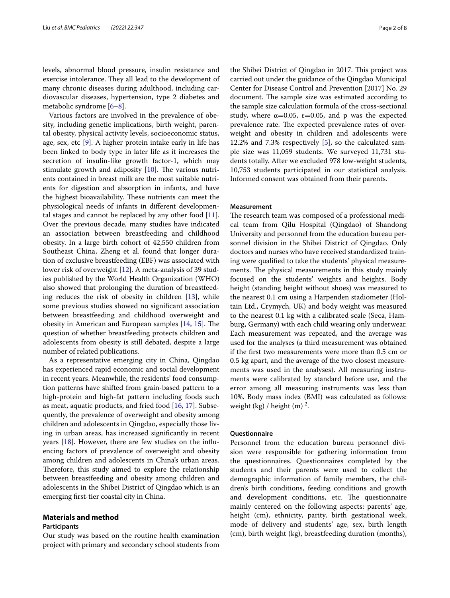levels, abnormal blood pressure, insulin resistance and exercise intolerance. They all lead to the development of many chronic diseases during adulthood, including cardiovascular diseases, hypertension, type 2 diabetes and metabolic syndrome [[6–](#page-6-5)[8](#page-6-6)].

Various factors are involved in the prevalence of obesity, including genetic implications, birth weight, parental obesity, physical activity levels, socioeconomic status, age, sex, etc [[9\]](#page-6-7). A higher protein intake early in life has been linked to body type in later life as it increases the secretion of insulin-like growth factor-1, which may stimulate growth and adiposity  $[10]$  $[10]$  $[10]$ . The various nutrients contained in breast milk are the most suitable nutrients for digestion and absorption in infants, and have the highest bioavailability. These nutrients can meet the physiological needs of infants in diferent developmental stages and cannot be replaced by any other food [\[11](#page-6-9)]. Over the previous decade, many studies have indicated an association between breastfeeding and childhood obesity. In a large birth cohort of 42,550 children from Southeast China, Zheng et al. found that longer duration of exclusive breastfeeding (EBF) was associated with lower risk of overweight [\[12](#page-6-10)]. A meta-analysis of 39 studies published by the World Health Organization (WHO) also showed that prolonging the duration of breastfeeding reduces the risk of obesity in children [[13\]](#page-6-11), while some previous studies showed no signifcant association between breastfeeding and childhood overweight and obesity in American and European samples  $[14, 15]$  $[14, 15]$  $[14, 15]$ . The question of whether breastfeeding protects children and adolescents from obesity is still debated, despite a large number of related publications.

As a representative emerging city in China, Qingdao has experienced rapid economic and social development in recent years. Meanwhile, the residents' food consumption patterns have shifted from grain-based pattern to a high-protein and high-fat pattern including foods such as meat, aquatic products, and fried food [[16,](#page-7-2) [17](#page-7-3)]. Subsequently, the prevalence of overweight and obesity among children and adolescents in Qingdao, especially those living in urban areas, has increased signifcantly in recent years [[18](#page-7-4)]. However, there are few studies on the infuencing factors of prevalence of overweight and obesity among children and adolescents in China's urban areas. Therefore, this study aimed to explore the relationship between breastfeeding and obesity among children and adolescents in the Shibei District of Qingdao which is an emerging frst-tier coastal city in China.

## **Materials and method**

#### **Participants**

Our study was based on the routine health examination project with primary and secondary school students from the Shibei District of Qingdao in 2017. This project was carried out under the guidance of the Qingdao Municipal Center for Disease Control and Prevention [2017] No. 29 document. The sample size was estimated according to the sample size calculation formula of the cross-sectional study, where  $\alpha$ =0.05,  $\varepsilon$ =0.05, and p was the expected prevalence rate. The expected prevalence rates of overweight and obesity in children and adolescents were 12.2% and 7.3% respectively [\[5](#page-6-4)], so the calculated sample size was 11,059 students. We surveyed 11,731 students totally. After we excluded 978 low-weight students, 10,753 students participated in our statistical analysis. Informed consent was obtained from their parents.

#### **Measurement**

The research team was composed of a professional medical team from Qilu Hospital (Qingdao) of Shandong University and personnel from the education bureau personnel division in the Shibei District of Qingdao. Only doctors and nurses who have received standardized training were qualifed to take the students' physical measurements. The physical measurements in this study mainly focused on the students' weights and heights. Body height (standing height without shoes) was measured to the nearest 0.1 cm using a Harpenden stadiometer (Holtain Ltd., Crymych, UK) and body weight was measured to the nearest 0.1 kg with a calibrated scale (Seca, Hamburg, Germany) with each child wearing only underwear. Each measurement was repeated, and the average was used for the analyses (a third measurement was obtained if the frst two measurements were more than 0.5 cm or 0.5 kg apart, and the average of the two closest measurements was used in the analyses). All measuring instruments were calibrated by standard before use, and the error among all measuring instruments was less than 10%. Body mass index (BMI) was calculated as follows: weight (kg) / height (m)  $^2$ .

#### **Questionnaire**

Personnel from the education bureau personnel division were responsible for gathering information from the questionnaires. Questionnaires completed by the students and their parents were used to collect the demographic information of family members, the children's birth conditions, feeding conditions and growth and development conditions, etc. The questionnaire mainly centered on the following aspects: parents' age, height (cm), ethnicity, parity, birth gestational week, mode of delivery and students' age, sex, birth length (cm), birth weight (kg), breastfeeding duration (months),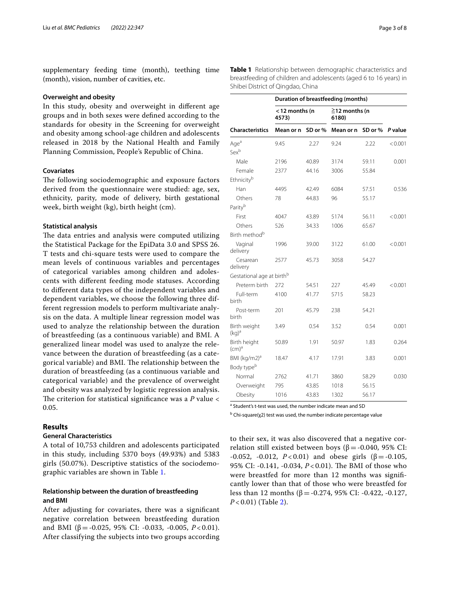supplementary feeding time (month), teething time (month), vision, number of cavities, etc.

#### **Overweight and obesity**

In this study, obesity and overweight in diferent age groups and in both sexes were defned according to the standards for obesity in the Screening for overweight and obesity among school-age children and adolescents released in 2018 by the National Health and Family Planning Commission, People's Republic of China.

#### **Covariates**

The following sociodemographic and exposure factors derived from the questionnaire were studied: age, sex, ethnicity, parity, mode of delivery, birth gestational week, birth weight (kg), birth height (cm).

#### **Statistical analysis**

The data entries and analysis were computed utilizing the Statistical Package for the EpiData 3.0 and SPSS 26. T tests and chi-square tests were used to compare the mean levels of continuous variables and percentages of categorical variables among children and adolescents with diferent feeding mode statuses. According to diferent data types of the independent variables and dependent variables, we choose the following three different regression models to perform multivariate analysis on the data. A multiple linear regression model was used to analyze the relationship between the duration of breastfeeding (as a continuous variable) and BMI. A generalized linear model was used to analyze the relevance between the duration of breastfeeding (as a categorical variable) and BMI. The relationship between the duration of breastfeeding (as a continuous variable and categorical variable) and the prevalence of overweight and obesity was analyzed by logistic regression analysis. The criterion for statistical significance was a  $P$  value  $\lt$ 0.05.

## **Results**

## **General Characteristics**

A total of 10,753 children and adolescents participated in this study, including 5370 boys (49.93%) and 5383 girls (50.07%). Descriptive statistics of the sociodemographic variables are shown in Table [1](#page-2-0).

## **Relationship between the duration of breastfeeding and BMI**

After adjusting for covariates, there was a signifcant negative correlation between breastfeeding duration and BMI ( $\beta$  = -0.025, 95% CI: -0.033, -0.005, *P* < 0.01). After classifying the subjects into two groups according <span id="page-2-0"></span>**Table 1** Relationship between demographic characteristics and breastfeeding of children and adolescents (aged 6 to 16 years) in Shibei District of Qingdao, China

|                                       | Duration of breastfeeding (months) |         |                              |         |         |  |  |  |  |  |
|---------------------------------------|------------------------------------|---------|------------------------------|---------|---------|--|--|--|--|--|
|                                       | <12 months (n<br>4573)             |         | $\geq$ 12 months (n<br>6180) |         |         |  |  |  |  |  |
| <b>Characteristics</b>                | Mean or n                          | SD or % | Mean or n                    | SD or % | P value |  |  |  |  |  |
| Age <sup>a</sup>                      | 9.45                               | 2.27    | 9.24                         | 2.22    | < 0.001 |  |  |  |  |  |
| Sexb                                  |                                    |         |                              |         |         |  |  |  |  |  |
| Male                                  | 2196                               | 40.89   | 3174                         | 59.11   | 0.001   |  |  |  |  |  |
| Female                                | 2377                               | 44.16   | 3006                         | 55.84   |         |  |  |  |  |  |
| Ethnicity <sup>b</sup>                |                                    |         |                              |         |         |  |  |  |  |  |
| Han                                   | 4495                               | 42.49   | 6084                         | 57.51   | 0.536   |  |  |  |  |  |
| Others                                | 78                                 | 44.83   | 96                           | 55.17   |         |  |  |  |  |  |
| Parityb                               |                                    |         |                              |         |         |  |  |  |  |  |
| First                                 | 4047                               | 43.89   | 5174                         | 56.11   | < 0.001 |  |  |  |  |  |
| Others                                | 526                                | 34.33   | 1006                         | 65.67   |         |  |  |  |  |  |
| Birth method <sup>b</sup>             |                                    |         |                              |         |         |  |  |  |  |  |
| Vaginal<br>delivery                   | 1996                               | 39.00   | 3122                         | 61.00   | < 0.001 |  |  |  |  |  |
| Cesarean<br>delivery                  | 2577                               | 45.73   | 3058                         | 54.27   |         |  |  |  |  |  |
| Gestational age at birth <sup>b</sup> |                                    |         |                              |         |         |  |  |  |  |  |
| Preterm birth                         | 272                                | 54.51   | 227                          | 45.49   | < 0.001 |  |  |  |  |  |
| Full-term<br>birth                    | 4100                               | 41.77   | 5715                         | 58.23   |         |  |  |  |  |  |
| Post-term<br>birth                    | 201                                | 45.79   | 238                          | 54.21   |         |  |  |  |  |  |
| Birth weight<br>$(kg)^a$              | 3.49                               | 0.54    | 3.52                         | 0.54    | 0.001   |  |  |  |  |  |
| Birth height<br>(cm) <sup>a</sup>     | 50.89                              | 1.91    | 50.97                        | 1.83    | 0.264   |  |  |  |  |  |
| BMI (kg/m2) <sup>a</sup>              | 18.47                              | 4.17    | 17.91                        | 3.83    | 0.001   |  |  |  |  |  |
| Body type <sup>b</sup>                |                                    |         |                              |         |         |  |  |  |  |  |
| Normal                                | 2762                               | 41.71   | 3860                         | 58.29   | 0.030   |  |  |  |  |  |
| Overweight                            | 795                                | 43.85   | 1018                         | 56.15   |         |  |  |  |  |  |
| Obesity                               | 1016                               | 43.83   | 1302                         | 56.17   |         |  |  |  |  |  |

<sup>a</sup> Student's t-test was used, the number indicate mean and SD

<sup>b</sup> Chi-square(χ2) test was used, the number indicate percentage value

to their sex, it was also discovered that a negative correlation still existed between boys ( $β = -0.040$ , 95% CI:  $-0.052$ ,  $-0.012$ ,  $P < 0.01$ ) and obese girls (β =  $-0.105$ , 95% CI: -0.141, -0.034, *P* < 0.01). The BMI of those who were breastfed for more than 12 months was signifcantly lower than that of those who were breastfed for less than 12 months (β = -0.274, 95% CI: -0.422, -0.127, *P* < 0.01) (Table [2\)](#page-3-0).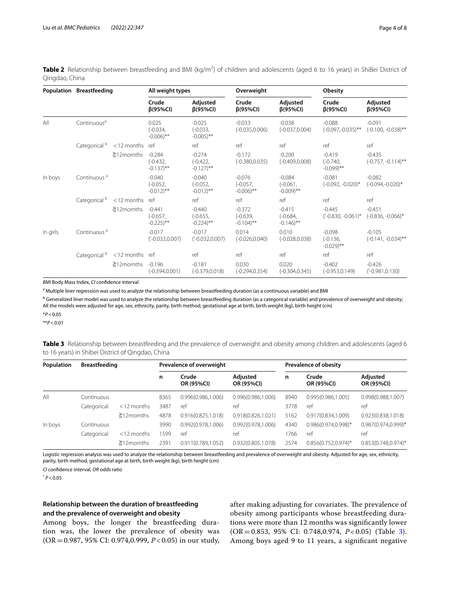<span id="page-3-0"></span>

|                |  | Table 2 Relationship between breastfeeding and BMI (kg/m <sup>2</sup> ) of children and adolescents (aged 6 to 16 years) in ShiBei District of |  |  |  |  |  |  |
|----------------|--|------------------------------------------------------------------------------------------------------------------------------------------------|--|--|--|--|--|--|
| Qingdao, China |  |                                                                                                                                                |  |  |  |  |  |  |

|          | Population Breastfeeding |                  | All weight types                                 |                                                  | Overweight                                       |                                                  | <b>Obesity</b>                                   |                                   |  |
|----------|--------------------------|------------------|--------------------------------------------------|--------------------------------------------------|--------------------------------------------------|--------------------------------------------------|--------------------------------------------------|-----------------------------------|--|
|          |                          |                  | Crude<br>$\beta$ (95%CI)                         | Adjusted<br>$\beta$ (95%CI)                      | Crude<br>$\beta$ (95%CI)                         | Adjusted<br>$\beta$ (95%CI)                      | Crude<br>$\beta$ (95%CI)                         | Adjusted<br>$\beta$ (95%Cl)       |  |
| All      | Continuous <sup>a</sup>  |                  | 0.025<br>$(-0.034,$<br>$-0.006$ <sup>**</sup>    | $-0.025$<br>$(-0.033,$<br>$-0.005$ <sup>**</sup> | $-0.033$<br>$(-0.035, 0.006)$                    | $-0.038$<br>$(-0.037, 0.004)$                    | $-0.088$<br>$(-0.097,-0.035)$ **                 | $-0.091$<br>$(-0.100, -0.038)$ ** |  |
|          | Categorical <sup>b</sup> | <12 months       | ref                                              | ref                                              | ref                                              | ref                                              | ref                                              | ref                               |  |
|          |                          | $\geq$ 12 momths | $-0.284$<br>$(-0.432,$<br>$-0.137$ <sup>**</sup> | $-0.274$<br>$(-0.422,$<br>$-0.127$ <sup>**</sup> | $-0.172$<br>$(-0.380, 0.035)$                    | $-0.200$<br>$(-0.409, 0.008)$                    | $-0.419$<br>$(-0.740,$<br>$-0.099$ <sup>**</sup> | $-0.435$<br>$(-0.757, -0.114)$ ** |  |
| In boys  | Continuous <sup>a</sup>  |                  | $-0.040$<br>$(-0.052,$<br>$-0.012$ <sup>**</sup> | $-0.040$<br>$(-0.052,$<br>$-0.012$ <sup>**</sup> | $-0.076$<br>$(-0.057,$<br>$-0.006$ <sup>**</sup> | $-0.084$<br>$(-0.061,$<br>$-0.009$ <sup>**</sup> | $-0.081$<br>$(-0.092, -0.020)^*$                 | $-0.082$<br>$(-0.094,-0.020)$ *   |  |
|          | Categorical <sup>b</sup> | $<$ 12 months    | ref                                              | ref                                              | ref                                              | ref                                              | ref                                              | ref                               |  |
|          |                          | $\geq$ 12 momths | $-0.441$<br>$(-0.657,$<br>$-0.225$ <sup>**</sup> | $-0.440$<br>$(-0.655,$<br>$-0.224$ <sup>**</sup> | $-0.372$<br>$(-0.639,$<br>$-0.104$ <sup>**</sup> | $-0.415$<br>$(-0.684,$<br>$-0.146$ <sup>**</sup> | $-0.445$<br>$(-0.830, -0.061)^*$                 | $-0.451$<br>$(-0.836, -0.066)^*$  |  |
| In girls | Continuous <sup>a</sup>  |                  | $-0.017$<br>$('-0.032, 0.007)$                   | $-0.017$<br>$('-0.032, 0.007)$                   | 0.014<br>$(-0.026, 0.040)$                       | 0.010<br>$(-0.028, 0.038)$                       | $-0.098$<br>$(-0.136,$<br>$-0.029$ <sup>**</sup> | $-0.105$<br>$(-0.141, -0.034)$ ** |  |
|          | Categorical <sup>b</sup> | <12 months ref   |                                                  | ref                                              | ref                                              | ref                                              | ref                                              | ref                               |  |
|          |                          | $\geq$ 12 momths | $-0.196$<br>$(-0.394, 0.001)$                    | $-0.181$<br>$(-0.379, 0.018)$                    | 0.030<br>$(-0.294, 0.354)$                       | 0.020<br>$(-0.304, 0.345)$                       | $-0.402$<br>$(-0.953, 0.149)$                    | $-0.426$<br>$(-0.981, 0.130)$     |  |

*BMI* Body Mass Index, *CI* confdence interval

<sup>a</sup> Multiple liner regression was used to analyze the relationship between breastfeeding duration (as a continuous variable) and BMI

<sup>b</sup> Generalized liner model was used to analyze the relationship between breastfeeding duration (as a categorical variable) and prevalence of overweight and obesity; All the models were adjusted for age, sex, ethnicity, parity, birth method, gestational age at birth, birth weight (kg), birth height (cm)

\**P*<0.05

\*\**P*<0.01

<span id="page-3-1"></span>**Table 3** Relationship between breastfeeding and the prevalence of overweight and obesity among children and adolescents (aged 6 to 16 years) in Shibei District of Qingdao, China

| Population | <b>Breastfeeding</b> |                  | Prevalence of overweight |                     |                        |      | <b>Prevalence of obesity</b> |                         |  |  |
|------------|----------------------|------------------|--------------------------|---------------------|------------------------|------|------------------------------|-------------------------|--|--|
|            |                      |                  | n                        | Crude<br>OR (95%CI) | Adjusted<br>OR (95%CI) | n    | Crude<br>OR (95%CI)          | Adjusted<br>OR (95%CI)  |  |  |
| All        | Continuous           |                  | 8365                     | 0.996(0.986, 1.006) | 0.996(0.986, 1.006)    | 8940 | 0.995(0.986, 1.005)          | 0.998(0.988, 1.007)     |  |  |
|            | Categorical          | $<$ 12 months    | 3487                     | ref                 | ref                    | 3778 | ref                          | ref                     |  |  |
|            |                      | $\geq$ 12 momths | 4878                     | 0.916(0.825, 1.018) | 0.918(0.826,1.021)     | 5162 | 0.917(0.834,1.009)           | 0.923(0.838,1.018)      |  |  |
| In boys    | Continuous           |                  | 3990                     | 0.992(0.978,1.006)  | 0.992(0.978,1.006)     | 4340 | 0.986(0.974,0.998)*          | $0.987(0.974, 0.999)^*$ |  |  |
|            | Categorical          | $<$ 12 months    | 1599                     | ref                 | ref                    | 1766 | ref                          | ref                     |  |  |
|            |                      | $\geq$ 12 momths | 2391                     | 0.911(0.789.1.052)  | 0.932(0.805.1.078)     | 2574 | $0.856(0.752.0.974)$ *       | $0.853(0.748, 0.974)$ * |  |  |

Logistic regression analysis was used to analyze the relationship between breastfeeding and prevalence of overweight and obesity. Adjusted for age, sex, ethnicity, parity, birth method, gestational age at birth, birth weight (kg), birth height (cm)

*CI* confdence interval, *OR* odds ratio

 $*$   $P < 0.05$ 

# **Relationship between the duration of breastfeeding and the prevalence of overweight and obesity**

Among boys, the longer the breastfeeding duration was, the lower the prevalence of obesity was (OR=0.987, 95% CI: 0.974,0.999, *P* < 0.05) in our study, after making adjusting for covariates. The prevalence of obesity among participants whose breastfeeding durations were more than 12 months was signifcantly lower (OR=0.853, 95% CI: 0.748,0.974, *P* < 0.05) (Table [3](#page-3-1)). Among boys aged 9 to 11 years, a signifcant negative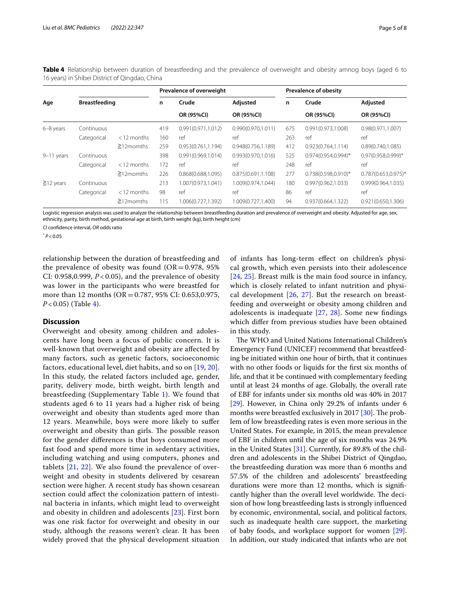<span id="page-4-0"></span>**Table 4** Relationship between duration of breastfeeding and the prevalence of overweight and obesity amnog boys (aged 6 to 16 years) in Shibei District of Qingdao, China

| Age             |                      |                  |     | Prevalence of overweight |                     | <b>Prevalence of obesity</b> |                         |                         |  |
|-----------------|----------------------|------------------|-----|--------------------------|---------------------|------------------------------|-------------------------|-------------------------|--|
|                 | <b>Breastfeeding</b> |                  | n   | Crude                    | Adjusted            | n                            | Crude                   | Adjusted                |  |
|                 |                      |                  |     | OR (95%CI)               | OR (95%CI)          |                              | OR (95%CI)              | OR (95%CI)              |  |
| 6-8 years       | Continuous           |                  | 419 | 0.991(0.971, 1.012)      | 0.990(0.970, 1.011) | 675                          | 0.991(0.973,1.008)      | 0.98(0.971, 1.007)      |  |
|                 | Categorical          | $<$ 12 months    | 160 | ref                      | ref                 | 263                          | ref                     | ref                     |  |
|                 |                      | $\geq$ 12 momths | 259 | 0.953(0.761,1.194)       | 0.948(0.756, 1.189) | 412                          | 0.923(0.764, 1.114)     | 0.89(0.740, 1.085)      |  |
| 9-11 years      | Continuous           |                  | 398 | 0.991(0.969, 1.014)      | 0.993(0.970,1.016)  | 525                          | $0.974(0.954, 0.994)^*$ | 0.97(0.958,0.999)*      |  |
|                 | Categorical          | $<$ 12 months    | 172 | ref                      | ref                 | 248                          | ref                     | ref                     |  |
|                 |                      | $\geq$ 12 momths | 226 | 0.868(0.688, 1.095)      | 0.875(0.691, 1.108) | 277                          | $0.738(0.598, 0.910)^*$ | $0.787(0.653, 0.975)^*$ |  |
| $\geq$ 12 years | Continuous           |                  | 213 | 1.007(0.973,1.041)       | 1.009(0.974,1.044)  | 180                          | 0.997(0.962, 1.033)     | 0.999(0.964, 1.035)     |  |
|                 | Categorical          | $<$ 12 months    | 98  | ref                      | ref                 | 86                           | ref                     | ref                     |  |
|                 |                      | $\geq$ 12 momths | 115 | 1.006(0.727,1.392)       | 1.009(0.727,1.400)  | 94                           | 0.937(0.664,1.322)      | 0.921(0.650,1.306)      |  |

Logistic regression analysis was used to analyze the relationship between breastfeeding duration and prevalence of overweight and obesity. Adjusted for age, sex, ethnicity, parity, birth method, gestational age at birth, birth weight (kg), birth height (cm)

*CI* confdence interval, *OR* odds ratio

\* *P*<0.05

relationship between the duration of breastfeeding and the prevalence of obesity was found  $(OR=0.978, 95\%)$ CI: 0.958,0.999, *P* < 0.05), and the prevalence of obesity was lower in the participants who were breastfed for more than 12 months (OR = 0.787, 95% CI: 0.653,0.975, *P* < 0.05) (Table [4\)](#page-4-0).

#### **Discussion**

Overweight and obesity among children and adolescents have long been a focus of public concern. It is well-known that overweight and obesity are afected by many factors, such as genetic factors, socioeconomic factors, educational level, diet habits, and so on [\[19](#page-7-5), [20\]](#page-7-6). In this study, the related factors included age, gender, parity, delivery mode, birth weight, birth length and breastfeeding (Supplementary Table [1](#page-6-12)). We found that students aged 6 to 11 years had a higher risk of being overweight and obesity than students aged more than 12 years. Meanwhile, boys were more likely to sufer overweight and obesity than girls. The possible reason for the gender diferences is that boys consumed more fast food and spend more time in sedentary activities, including watching and using computers, phones and tablets [\[21,](#page-7-7) [22](#page-7-8)]. We also found the prevalence of overweight and obesity in students delivered by cesarean section were higher. A recent study has shown cesarean section could afect the colonization pattern of intestinal bacteria in infants, which might lead to overweight and obesity in children and adolescents [[23](#page-7-9)]. First born was one risk factor for overweight and obesity in our study, although the reasons weren't clear. It has been widely proved that the physical development situation of infants has long-term efect on children's physical growth, which even persists into their adolescence [[24](#page-7-10), [25](#page-7-11)]. Breast milk is the main food source in infancy, which is closely related to infant nutrition and physical development  $[26, 27]$  $[26, 27]$  $[26, 27]$  $[26, 27]$  $[26, 27]$ . But the research on breastfeeding and overweight or obesity among children and adolescents is inadequate [[27](#page-7-13), [28](#page-7-14)]. Some new fndings which difer from previous studies have been obtained in this study.

The WHO and United Nations International Children's Emergency Fund (UNICEF) recommend that breastfeeding be initiated within one hour of birth, that it continues with no other foods or liquids for the frst six months of life, and that it be continued with complementary feeding until at least 24 months of age. Globally, the overall rate of EBF for infants under six months old was 40% in 2017 [[29\]](#page-7-15). However, in China only 29.2% of infants under 6 months were breastfed exclusively in 2017  $[30]$  $[30]$ . The problem of low breastfeeding rates is even more serious in the United States. For example, in 2015, the mean prevalence of EBF in children until the age of six months was 24.9% in the United States [[31](#page-7-17)]. Currently, for 89.8% of the children and adolescents in the Shibei District of Qingdao, the breastfeeding duration was more than 6 months and 57.5% of the children and adolescents' breastfeeding durations were more than 12 months, which is signifcantly higher than the overall level worldwide. The decision of how long breastfeeding lasts is strongly infuenced by economic, environmental, social, and political factors, such as inadequate health care support, the marketing of baby foods, and workplace support for women [\[29](#page-7-15)]. In addition, our study indicated that infants who are not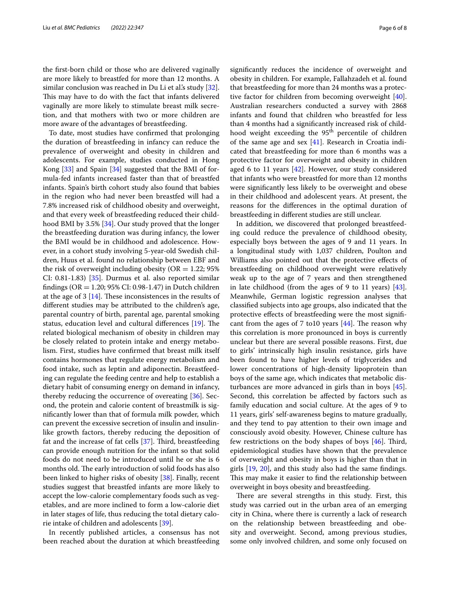the frst-born child or those who are delivered vaginally are more likely to breastfed for more than 12 months. A similar conclusion was reached in Du Li et al's study [\[32](#page-7-18)]. This may have to do with the fact that infants delivered vaginally are more likely to stimulate breast milk secretion, and that mothers with two or more children are more aware of the advantages of breastfeeding.

To date, most studies have confrmed that prolonging the duration of breastfeeding in infancy can reduce the prevalence of overweight and obesity in children and adolescents. For example, studies conducted in Hong Kong [[33\]](#page-7-19) and Spain [\[34](#page-7-20)] suggested that the BMI of formula-fed infants increased faster than that of breastfed infants. Spain's birth cohort study also found that babies in the region who had never been breastfed will had a 7.8% increased risk of childhood obesity and overweight, and that every week of breastfeeding reduced their childhood BMI by 3.5% [[34\]](#page-7-20). Our study proved that the longer the breastfeeding duration was during infancy, the lower the BMI would be in childhood and adolescence. However, in a cohort study involving 5-year-old Swedish children, Huus et al. found no relationship between EBF and the risk of overweight including obesity ( $OR = 1.22$ ; 95% CI: 0.81-1.83) [[35\]](#page-7-21). Durmus et al. also reported similar fndings (OR = 1.20; 95% CI: 0.98-1.47) in Dutch children at the age of  $3$  [\[14](#page-7-0)]. These inconsistences in the results of diferent studies may be attributed to the children's age, parental country of birth, parental age, parental smoking status, education level and cultural differences  $[19]$  $[19]$  $[19]$ . The related biological mechanism of obesity in children may be closely related to protein intake and energy metabolism. First, studies have confrmed that breast milk itself contains hormones that regulate energy metabolism and food intake, such as leptin and adiponectin. Breastfeeding can regulate the feeding centre and help to establish a dietary habit of consuming energy on demand in infancy, thereby reducing the occurrence of overeating [[36](#page-7-22)]. Second, the protein and calorie content of breastmilk is signifcantly lower than that of formula milk powder, which can prevent the excessive secretion of insulin and insulinlike growth factors, thereby reducing the deposition of fat and the increase of fat cells  $[37]$  $[37]$ . Third, breastfeeding can provide enough nutrition for the infant so that solid foods do not need to be introduced until he or she is 6 months old. The early introduction of solid foods has also been linked to higher risks of obesity [\[38](#page-7-24)]. Finally, recent studies suggest that breastfed infants are more likely to accept the low-calorie complementary foods such as vegetables, and are more inclined to form a low-calorie diet in later stages of life, thus reducing the total dietary calorie intake of children and adolescents [\[39\]](#page-7-25).

In recently published articles, a consensus has not been reached about the duration at which breastfeeding signifcantly reduces the incidence of overweight and obesity in children. For example, Fallahzadeh et al. found that breastfeeding for more than 24 months was a protec-tive factor for children from becoming overweight [\[40](#page-7-26)]. Australian researchers conducted a survey with 2868 infants and found that children who breastfed for less than 4 months had a signifcantly increased risk of childhood weight exceeding the 95<sup>th</sup> percentile of children of the same age and sex [[41\]](#page-7-27). Research in Croatia indicated that breastfeeding for more than 6 months was a protective factor for overweight and obesity in children aged 6 to 11 years  $[42]$  $[42]$ . However, our study considered that infants who were breastfed for more than 12 months were signifcantly less likely to be overweight and obese in their childhood and adolescent years. At present, the reasons for the diferences in the optimal duration of breastfeeding in diferent studies are still unclear.

In addition, we discovered that prolonged breastfeeding could reduce the prevalence of childhood obesity, especially boys between the ages of 9 and 11 years. In a longitudinal study with 1,037 children, Poulton and Williams also pointed out that the protective efects of breastfeeding on childhood overweight were relatively weak up to the age of 7 years and then strengthened in late childhood (from the ages of 9 to 11 years) [\[43](#page-7-29)]. Meanwhile, German logistic regression analyses that classifed subjects into age groups, also indicated that the protective efects of breastfeeding were the most signifcant from the ages of 7 to10 years  $[44]$  $[44]$ . The reason why this correlation is more pronounced in boys is currently unclear but there are several possible reasons. First, due to girls' intrinsically high insulin resistance, girls have been found to have higher levels of triglycerides and lower concentrations of high-density lipoprotein than boys of the same age, which indicates that metabolic disturbances are more advanced in girls than in boys [\[45](#page-7-31)]. Second, this correlation be afected by factors such as family education and social culture. At the ages of 9 to 11 years, girls' self-awareness begins to mature gradually, and they tend to pay attention to their own image and consciously avoid obesity. However, Chinese culture has few restrictions on the body shapes of boys  $[46]$ . Third, epidemiological studies have shown that the prevalence of overweight and obesity in boys is higher than that in girls [[19,](#page-7-5) [20\]](#page-7-6), and this study also had the same fndings. This may make it easier to find the relationship between overweight in boys obesity and breastfeeding.

There are several strengths in this study. First, this study was carried out in the urban area of an emerging city in China, where there is currently a lack of research on the relationship between breastfeeding and obesity and overweight. Second, among previous studies, some only involved children, and some only focused on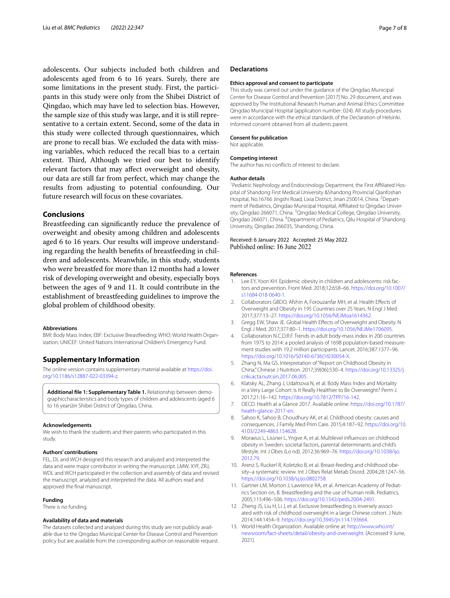adolescents. Our subjects included both children and adolescents aged from 6 to 16 years. Surely, there are some limitations in the present study. First, the participants in this study were only from the Shibei District of Qingdao, which may have led to selection bias. However, the sample size of this study was large, and it is still representative to a certain extent. Second, some of the data in this study were collected through questionnaires, which are prone to recall bias. We excluded the data with missing variables, which reduced the recall bias to a certain extent. Third, Although we tried our best to identify relevant factors that may afect overweight and obesity, our data are still far from perfect, which may change the results from adjusting to potential confounding. Our future research will focus on these covariates.

## **Conclusions**

Breastfeeding can signifcantly reduce the prevalence of overweight and obesity among children and adolescents aged 6 to 16 years. Our results will improve understanding regarding the health benefts of breastfeeding in children and adolescents. Meanwhile, in this study, students who were breastfed for more than 12 months had a lower risk of developing overweight and obesity, especially boys between the ages of 9 and 11. It could contribute in the establishment of breastfeeding guidelines to improve the global problem of childhood obesity.

#### **Abbreviations**

BMI: Body Mass Index; EBF: Exclusive Breastfeeding; WHO: World Health Organization; UNICEF: United Nations International Children's Emergency Fund.

#### **Supplementary Information**

The online version contains supplementary material available at [https://doi.](https://doi.org/10.1186/s12887-022-03394-z) [org/10.1186/s12887-022-03394-z.](https://doi.org/10.1186/s12887-022-03394-z)

<span id="page-6-12"></span>**Additional fle 1: Supplementary Table 1.** Relationship between demographiccharacteristics and body types of children and adolescents (aged 6 to 16 years)in Shibei District of Qingdao, China.

#### **Acknowledgements**

We wish to thank the students and their parents who participated in this study.

#### **Authors' contributions**

FEL, DL and WCH designed this research and analyzed and interpreted the data and were major contributor in writing the manuscript. LMW, XYF, ZRJ, WDL and WCH participated in the collection and assembly of data and revised the manuscript. analyzed and interpreted the data. All authors read and approved the fnal manuscript.

# **Funding**

## There is no funding.

#### **Availability of data and materials**

The datasets collected and analyzed during this study are not publicly available due to the Qingdao Municipal Center for Disease Control and Prevention policy but are available from the corresponding author on reasonable request.

#### **Declarations**

#### **Ethics approval and consent to participate**

This study was carried out under the guidance of the Qingdao Municipal Center for Disease Control and Prevention [2017] No. 29 document, and was approved by The Institutional Research Human and Animal Ethics Committee Qingdao Municipal Hospital (application number: 024). All study procedures were in accordance with the ethical standards of the Declaration of Helsinki. Informed consent obtained from all students parent.

#### **Consent for publication**

Not applicable.

#### **Competing interest**

The author has no conficts of interest to declare.

#### **Author details**

<sup>1</sup> Pediatric Nephrology and Endocrinology Department, the First Affiliated Hospital of Shandong First Medical University &Shandong Provincial Qianfoshan Hospital, No.16766 Jingshi Road, Lixia District, Jinan 250014, China. <sup>2</sup> Department of Pediatrics, Qingdao Municipal Hospital, Afliated to Qingdao University, Qingdao 266071, China. <sup>3</sup> Qingdao Medical College, Qingdao University, Qingdao 266071, China. <sup>4</sup> Department of Pediatrics, Qilu Hospital of Shandong University, Qingdao 266035, Shandong, China.

Received: 6 January 2022 Accepted: 25 May 2022 Published online: 16 June 2022

#### **References**

- <span id="page-6-0"></span>1. Lee EY, Yoon KH. Epidemic obesity in children and adolescents: risk factors and prevention. Front Med. 2018;12:658–66. [https://doi.org/10.1007/](https://doi.org/10.1007/s11684-018-0640-1) [s11684-018-0640-1.](https://doi.org/10.1007/s11684-018-0640-1)
- <span id="page-6-1"></span>2. Collaborators GBDO, Afshin A, Forouzanfar MH, et al. Health Efects of Overweight and Obesity in 195 Countries over 25 Years. N Engl J Med. 2017;377:13–27.<https://doi.org/10.1056/NEJMoa1614362>.
- <span id="page-6-2"></span>3. Gregg EW, Shaw JE. Global Health Effects of Overweight and Obesity. N Engl J Med. 2017;377:80–1.<https://doi.org/10.1056/NEJMe1706095>.
- <span id="page-6-3"></span>4. Collaboration N.C.D.R.F. Trends in adult body-mass index in 200 countries from 1975 to 2014: a pooled analysis of 1698 population-based measurement studies with 19.2 million participants. Lancet. 2016;387:1377–96. [https://doi.org/10.1016/S0140-6736\(16\)30054-X](https://doi.org/10.1016/S0140-6736(16)30054-X).
- <span id="page-6-4"></span>5. Zhang N, Ma GS. Interpretation of "Report on Childhood Obesity in China." Chinese J Nutrition. 2017;39(06):530–4. [https://doi.org/10.13325/j.](https://doi.org/10.13325/j.cnki.acta.nutr.sin.2017.06.005) [cnki.acta.nutr.sin.2017.06.005.](https://doi.org/10.13325/j.cnki.acta.nutr.sin.2017.06.005)
- <span id="page-6-5"></span>6. Klatsky AL, Zhang J, Udaltsova N, et al. Body Mass Index and Mortality in a Very Large Cohort: Is It Really Healthier to Be Overweight? Perm J. 2017;21:16–142.<https://doi.org/10.7812/TPP/16-142>.
- 7. OECD. Health at a Glance 2017. Available online: [https://doi.org/10.1787/](https://doi.org/10.1787/health-glance-2017-en) [health-glance-2017-en](https://doi.org/10.1787/health-glance-2017-en).
- <span id="page-6-6"></span>8. Sahoo K, Sahoo B, Choudhury AK, et al. Childhood obesity: causes and consequences. J Family Med Prim Care. 2015;4:187–92. [https://doi.org/10.](https://doi.org/10.4103/2249-4863.154628) [4103/2249-4863.154628.](https://doi.org/10.4103/2249-4863.154628)
- <span id="page-6-7"></span>9. Moraeus L, Lissner L, Yngve A, et al. Multilevel infuences on childhood obesity in Sweden: societal factors, parental determinants and child's lifestyle. Int J Obes (Lo nd). 2012;36:969–76. [https://doi.org/10.1038/ijo.](https://doi.org/10.1038/ijo.2012.79) [2012.79.](https://doi.org/10.1038/ijo.2012.79)
- <span id="page-6-8"></span>10. Arenz S, Ruckerl R, Koletzko B, et al. Breast-feeding and childhood obesity–a systematic review. Int J Obes Relat Metab Disord. 2004;28:1247–56. <https://doi.org/10.1038/sj.ijo.0802758>.
- <span id="page-6-9"></span>11. Gartner LM, Morton J, Lawrence RA, et al. American Academy of Pediatrics Section on, B. Breastfeeding and the use of human milk. Pediatrics. 2005;115:496–506. [https://doi.org/10.1542/peds.2004-2491.](https://doi.org/10.1542/peds.2004-2491)
- <span id="page-6-10"></span>12. Zheng JS, Liu H, Li J, et al. Exclusive breastfeeding is inversely associated with risk of childhood overweight in a large Chinese cohort. J Nutr. 2014;144:1454–9. [https://doi.org/10.3945/jn.114.193664.](https://doi.org/10.3945/jn.114.193664)
- <span id="page-6-11"></span>13. World Health Organization. Available online at: [http://www.who.int/](http://www.who.int/newsroom/fact-sheets/detail/obesity-and-overweight) [newsroom/fact-sheets/detail/obesity-and-overweight](http://www.who.int/newsroom/fact-sheets/detail/obesity-and-overweight). (Accessed 9 June, 2021).